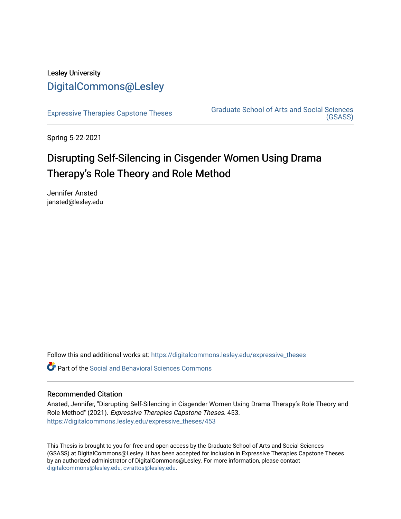## Lesley University [DigitalCommons@Lesley](https://digitalcommons.lesley.edu/)

[Expressive Therapies Capstone Theses](https://digitalcommons.lesley.edu/expressive_theses) Graduate School of Arts and Social Sciences [\(GSASS\)](https://digitalcommons.lesley.edu/gsass) 

Spring 5-22-2021

# Disrupting Self-Silencing in Cisgender Women Using Drama Therapy's Role Theory and Role Method

Jennifer Ansted jansted@lesley.edu

Follow this and additional works at: [https://digitalcommons.lesley.edu/expressive\\_theses](https://digitalcommons.lesley.edu/expressive_theses?utm_source=digitalcommons.lesley.edu%2Fexpressive_theses%2F453&utm_medium=PDF&utm_campaign=PDFCoverPages)

Part of the [Social and Behavioral Sciences Commons](http://network.bepress.com/hgg/discipline/316?utm_source=digitalcommons.lesley.edu%2Fexpressive_theses%2F453&utm_medium=PDF&utm_campaign=PDFCoverPages) 

### Recommended Citation

Ansted, Jennifer, "Disrupting Self-Silencing in Cisgender Women Using Drama Therapy's Role Theory and Role Method" (2021). Expressive Therapies Capstone Theses. 453. [https://digitalcommons.lesley.edu/expressive\\_theses/453](https://digitalcommons.lesley.edu/expressive_theses/453?utm_source=digitalcommons.lesley.edu%2Fexpressive_theses%2F453&utm_medium=PDF&utm_campaign=PDFCoverPages)

This Thesis is brought to you for free and open access by the Graduate School of Arts and Social Sciences (GSASS) at DigitalCommons@Lesley. It has been accepted for inclusion in Expressive Therapies Capstone Theses by an authorized administrator of DigitalCommons@Lesley. For more information, please contact [digitalcommons@lesley.edu, cvrattos@lesley.edu](mailto:digitalcommons@lesley.edu,%20cvrattos@lesley.edu).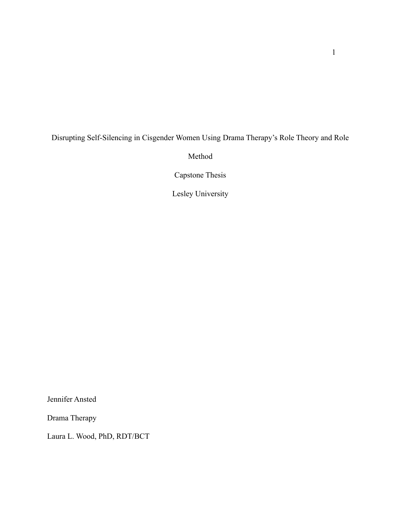### Disrupting Self-Silencing in Cisgender Women Using Drama Therapy's Role Theory and Role

Method

Capstone Thesis

Lesley University

Jennifer Ansted

Drama Therapy

Laura L. Wood, PhD, RDT/BCT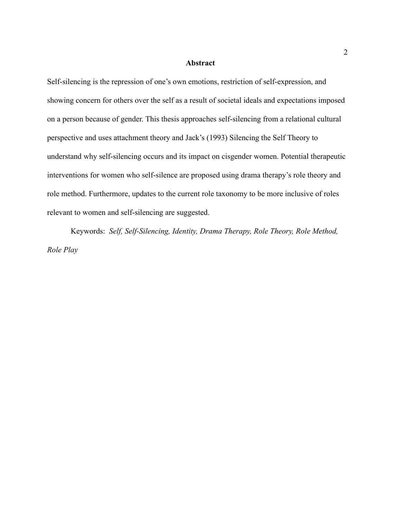#### **Abstract**

Self-silencing is the repression of one's own emotions, restriction of self-expression, and showing concern for others over the self as a result of societal ideals and expectations imposed on a person because of gender. This thesis approaches self-silencing from a relational cultural perspective and uses attachment theory and Jack's (1993) Silencing the Self Theory to understand why self-silencing occurs and its impact on cisgender women. Potential therapeutic interventions for women who self-silence are proposed using drama therapy's role theory and role method. Furthermore, updates to the current role taxonomy to be more inclusive of roles relevant to women and self-silencing are suggested.

Keywords: *Self, Self-Silencing, Identity, Drama Therapy, Role Theory, Role Method, Role Play*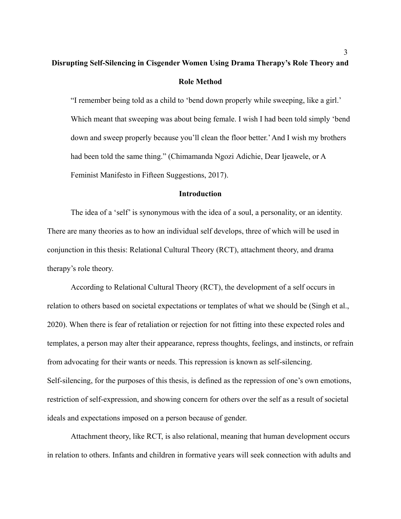## **Disrupting Self-Silencing in Cisgender Women Using Drama Therapy's Role Theory and Role Method**

"I remember being told as a child to 'bend down properly while sweeping, like a girl.' Which meant that sweeping was about being female. I wish I had been told simply 'bend down and sweep properly because you'll clean the floor better.'And I wish my brothers had been told the same thing." (Chimamanda Ngozi Adichie, Dear Ijeawele, or A Feminist Manifesto in Fifteen Suggestions, 2017).

#### **Introduction**

The idea of a 'self' is synonymous with the idea of a soul, a personality, or an identity. There are many theories as to how an individual self develops, three of which will be used in conjunction in this thesis: Relational Cultural Theory (RCT), attachment theory, and drama therapy's role theory.

According to Relational Cultural Theory (RCT), the development of a self occurs in relation to others based on societal expectations or templates of what we should be (Singh et al., 2020). When there is fear of retaliation or rejection for not fitting into these expected roles and templates, a person may alter their appearance, repress thoughts, feelings, and instincts, or refrain from advocating for their wants or needs. This repression is known as self-silencing. Self-silencing, for the purposes of this thesis, is defined as the repression of one's own emotions, restriction of self-expression, and showing concern for others over the self as a result of societal ideals and expectations imposed on a person because of gender.

Attachment theory, like RCT, is also relational, meaning that human development occurs in relation to others. Infants and children in formative years will seek connection with adults and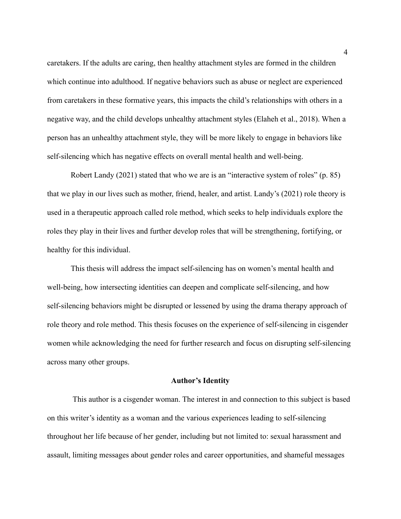caretakers. If the adults are caring, then healthy attachment styles are formed in the children which continue into adulthood. If negative behaviors such as abuse or neglect are experienced from caretakers in these formative years, this impacts the child's relationships with others in a negative way, and the child develops unhealthy attachment styles (Elaheh et al., 2018). When a person has an unhealthy attachment style, they will be more likely to engage in behaviors like self-silencing which has negative effects on overall mental health and well-being.

Robert Landy (2021) stated that who we are is an "interactive system of roles" (p. 85) that we play in our lives such as mother, friend, healer, and artist. Landy's (2021) role theory is used in a therapeutic approach called role method, which seeks to help individuals explore the roles they play in their lives and further develop roles that will be strengthening, fortifying, or healthy for this individual.

This thesis will address the impact self-silencing has on women's mental health and well-being, how intersecting identities can deepen and complicate self-silencing, and how self-silencing behaviors might be disrupted or lessened by using the drama therapy approach of role theory and role method. This thesis focuses on the experience of self-silencing in cisgender women while acknowledging the need for further research and focus on disrupting self-silencing across many other groups.

#### **Author's Identity**

This author is a cisgender woman. The interest in and connection to this subject is based on this writer's identity as a woman and the various experiences leading to self-silencing throughout her life because of her gender, including but not limited to: sexual harassment and assault, limiting messages about gender roles and career opportunities, and shameful messages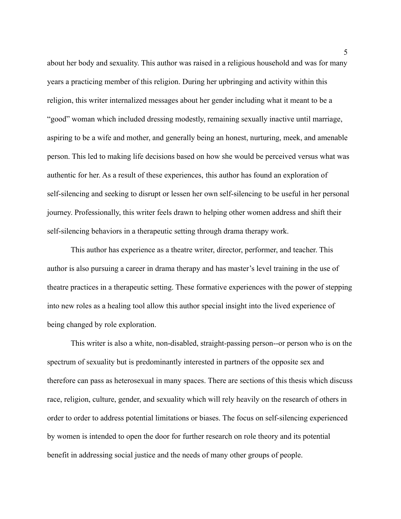about her body and sexuality. This author was raised in a religious household and was for many years a practicing member of this religion. During her upbringing and activity within this religion, this writer internalized messages about her gender including what it meant to be a "good" woman which included dressing modestly, remaining sexually inactive until marriage, aspiring to be a wife and mother, and generally being an honest, nurturing, meek, and amenable person. This led to making life decisions based on how she would be perceived versus what was authentic for her. As a result of these experiences, this author has found an exploration of self-silencing and seeking to disrupt or lessen her own self-silencing to be useful in her personal journey. Professionally, this writer feels drawn to helping other women address and shift their self-silencing behaviors in a therapeutic setting through drama therapy work.

This author has experience as a theatre writer, director, performer, and teacher. This author is also pursuing a career in drama therapy and has master's level training in the use of theatre practices in a therapeutic setting. These formative experiences with the power of stepping into new roles as a healing tool allow this author special insight into the lived experience of being changed by role exploration.

This writer is also a white, non-disabled, straight-passing person--or person who is on the spectrum of sexuality but is predominantly interested in partners of the opposite sex and therefore can pass as heterosexual in many spaces. There are sections of this thesis which discuss race, religion, culture, gender, and sexuality which will rely heavily on the research of others in order to order to address potential limitations or biases. The focus on self-silencing experienced by women is intended to open the door for further research on role theory and its potential benefit in addressing social justice and the needs of many other groups of people.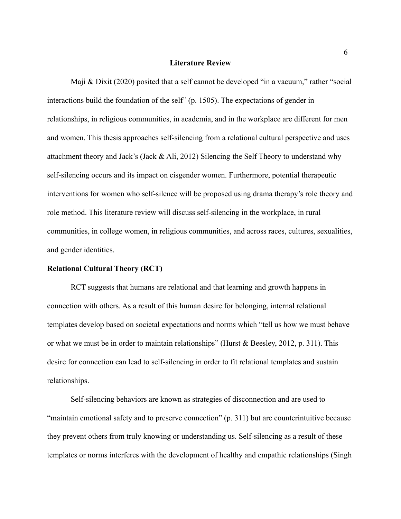#### **Literature Review**

Maji & Dixit (2020) posited that a self cannot be developed "in a vacuum," rather "social interactions build the foundation of the self" (p. 1505). The expectations of gender in relationships, in religious communities, in academia, and in the workplace are different for men and women. This thesis approaches self-silencing from a relational cultural perspective and uses attachment theory and Jack's (Jack & Ali, 2012) Silencing the Self Theory to understand why self-silencing occurs and its impact on cisgender women. Furthermore, potential therapeutic interventions for women who self-silence will be proposed using drama therapy's role theory and role method. This literature review will discuss self-silencing in the workplace, in rural communities, in college women, in religious communities, and across races, cultures, sexualities, and gender identities.

#### **Relational Cultural Theory (RCT)**

RCT suggests that humans are relational and that learning and growth happens in connection with others. As a result of this human desire for belonging, internal relational templates develop based on societal expectations and norms which "tell us how we must behave or what we must be in order to maintain relationships" (Hurst & Beesley, 2012, p. 311). This desire for connection can lead to self-silencing in order to fit relational templates and sustain relationships.

Self-silencing behaviors are known as strategies of disconnection and are used to "maintain emotional safety and to preserve connection" (p. 311) but are counterintuitive because they prevent others from truly knowing or understanding us. Self-silencing as a result of these templates or norms interferes with the development of healthy and empathic relationships (Singh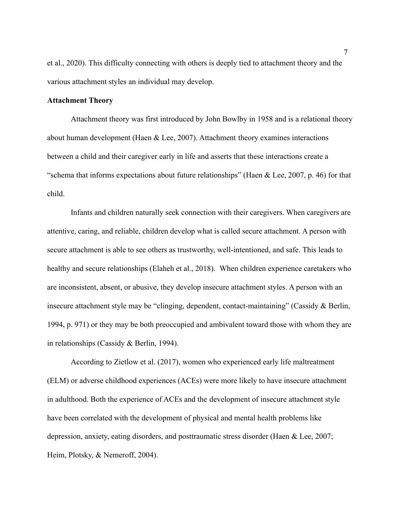et al., 2020). This difficulty connecting with others is deeply tied to attachment theory and the various attachment styles an individual may develop.

#### **Attachment Theory**

Attachment theory was first introduced by John Bowlby in 1958 and is a relational theory about human development (Haen & Lee, 2007). Attachment theory examines interactions between a child and their caregiver early in life and asserts that these interactions create a "schema that informs expectations about future relationships" (Haen  $&$  Lee, 2007, p. 46) for that child.

Infants and children naturally seek connection with their caregivers. When caregivers are attentive, caring, and reliable, children develop what is called secure attachment. A person with secure attachment is able to see others as trustworthy, well-intentioned, and safe. This leads to healthy and secure relationships (Elaheh et al., 2018). When children experience caretakers who are inconsistent, absent, or abusive, they develop insecure attachment styles. A person with an insecure attachment style may be "clinging, dependent, contact-maintaining" (Cassidy & Berlin, 1994, p. 971) or they may be both preoccupied and ambivalent toward those with whom they are in relationships (Cassidy & Berlin, 1994).

According to Zietlow et al. (2017), women who experienced early life maltreatment (ELM) or adverse childhood experiences (ACEs) were more likely to have insecure attachment in adulthood. Both the experience of ACEs and the development of insecure attachment style have been correlated with the development of physical and mental health problems like depression, anxiety, eating disorders, and posttraumatic stress disorder (Haen & Lee, 2007; Heim, Plotsky, & Nemeroff, 2004).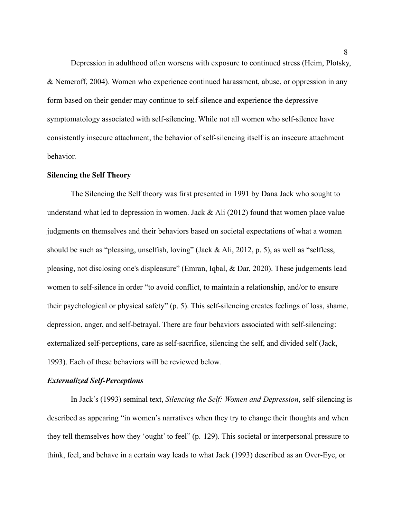Depression in adulthood often worsens with exposure to continued stress (Heim, Plotsky, & Nemeroff, 2004). Women who experience continued harassment, abuse, or oppression in any form based on their gender may continue to self-silence and experience the depressive symptomatology associated with self-silencing. While not all women who self-silence have consistently insecure attachment, the behavior of self-silencing itself is an insecure attachment behavior.

#### **Silencing the Self Theory**

The Silencing the Self theory was first presented in 1991 by Dana Jack who sought to understand what led to depression in women. Jack  $&$  Ali (2012) found that women place value judgments on themselves and their behaviors based on societal expectations of what a woman should be such as "pleasing, unselfish, loving" (Jack & Ali, 2012, p. 5), as well as "selfless, pleasing, not disclosing one's displeasure" (Emran, Iqbal, & Dar, 2020). These judgements lead women to self-silence in order "to avoid conflict, to maintain a relationship, and/or to ensure their psychological or physical safety" (p. 5). This self-silencing creates feelings of loss, shame, depression, anger, and self-betrayal. There are four behaviors associated with self-silencing: externalized self-perceptions, care as self-sacrifice, silencing the self, and divided self (Jack, 1993). Each of these behaviors will be reviewed below.

#### *Externalized Self-Perceptions*

In Jack's (1993) seminal text, *Silencing the Self: Women and Depression*, self-silencing is described as appearing "in women's narratives when they try to change their thoughts and when they tell themselves how they 'ought' to feel" (p. 129). This societal or interpersonal pressure to think, feel, and behave in a certain way leads to what Jack (1993) described as an Over-Eye, or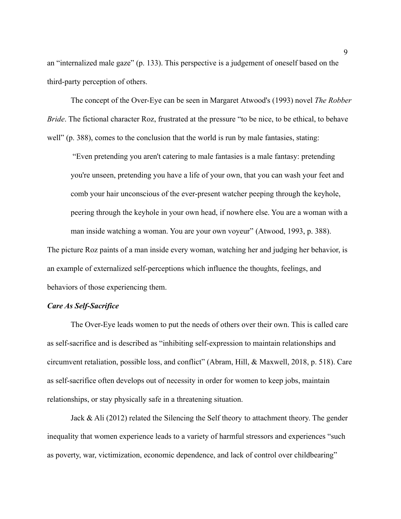an "internalized male gaze" (p. 133). This perspective is a judgement of oneself based on the third-party perception of others.

The concept of the Over-Eye can be seen in Margaret Atwood's (1993) novel *The Robber Bride*. The fictional character Roz, frustrated at the pressure "to be nice, to be ethical, to behave well" (p. 388), comes to the conclusion that the world is run by male fantasies, stating:

"Even pretending you aren't catering to male fantasies is a male fantasy: pretending you're unseen, pretending you have a life of your own, that you can wash your feet and comb your hair unconscious of the ever-present watcher peeping through the keyhole, peering through the keyhole in your own head, if nowhere else. You are a woman with a man inside watching a woman. You are your own voyeur" (Atwood, 1993, p. 388).

The picture Roz paints of a man inside every woman, watching her and judging her behavior, is an example of externalized self-perceptions which influence the thoughts, feelings, and behaviors of those experiencing them.

#### *Care As Self-Sacrifice*

The Over-Eye leads women to put the needs of others over their own. This is called care as self-sacrifice and is described as "inhibiting self-expression to maintain relationships and circumvent retaliation, possible loss, and conflict" (Abram, Hill, & Maxwell, 2018, p. 518). Care as self-sacrifice often develops out of necessity in order for women to keep jobs, maintain relationships, or stay physically safe in a threatening situation.

Jack & Ali (2012) related the Silencing the Self theory to attachment theory. The gender inequality that women experience leads to a variety of harmful stressors and experiences "such as poverty, war, victimization, economic dependence, and lack of control over childbearing"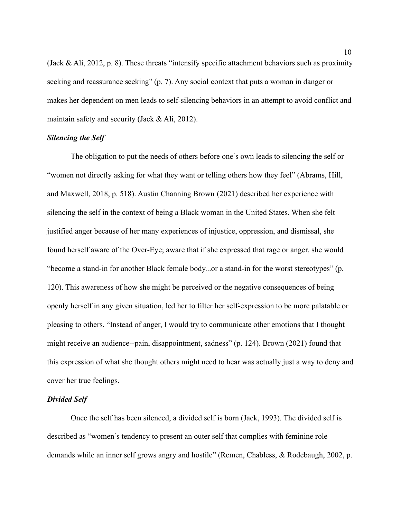(Jack & Ali, 2012, p. 8). These threats "intensify specific attachment behaviors such as proximity seeking and reassurance seeking" (p. 7). Any social context that puts a woman in danger or makes her dependent on men leads to self-silencing behaviors in an attempt to avoid conflict and maintain safety and security (Jack & Ali, 2012).

#### *Silencing the Self*

The obligation to put the needs of others before one's own leads to silencing the self or "women not directly asking for what they want or telling others how they feel" (Abrams, Hill, and Maxwell, 2018, p. 518). Austin Channing Brown (2021) described her experience with silencing the self in the context of being a Black woman in the United States. When she felt justified anger because of her many experiences of injustice, oppression, and dismissal, she found herself aware of the Over-Eye; aware that if she expressed that rage or anger, she would "become a stand-in for another Black female body...or a stand-in for the worst stereotypes" (p. 120). This awareness of how she might be perceived or the negative consequences of being openly herself in any given situation, led her to filter her self-expression to be more palatable or pleasing to others. "Instead of anger, I would try to communicate other emotions that I thought might receive an audience--pain, disappointment, sadness" (p. 124). Brown (2021) found that this expression of what she thought others might need to hear was actually just a way to deny and cover her true feelings.

#### *Divided Self*

Once the self has been silenced, a divided self is born (Jack, 1993). The divided self is described as "women's tendency to present an outer self that complies with feminine role demands while an inner self grows angry and hostile" (Remen, Chabless, & Rodebaugh, 2002, p.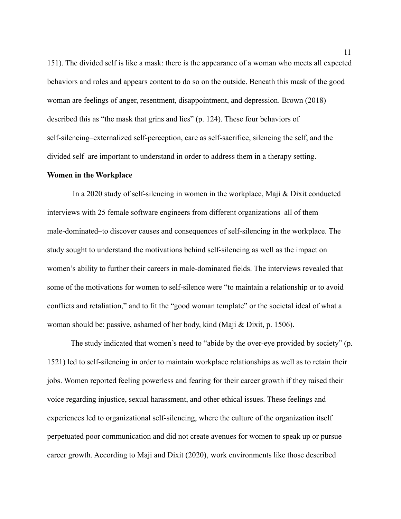151). The divided self is like a mask: there is the appearance of a woman who meets all expected behaviors and roles and appears content to do so on the outside. Beneath this mask of the good woman are feelings of anger, resentment, disappointment, and depression. Brown (2018) described this as "the mask that grins and lies" (p. 124). These four behaviors of self-silencing–externalized self-perception, care as self-sacrifice, silencing the self, and the divided self–are important to understand in order to address them in a therapy setting.

#### **Women in the Workplace**

In a 2020 study of self-silencing in women in the workplace, Maji & Dixit conducted interviews with 25 female software engineers from different organizations–all of them male-dominated–to discover causes and consequences of self-silencing in the workplace. The study sought to understand the motivations behind self-silencing as well as the impact on women's ability to further their careers in male-dominated fields. The interviews revealed that some of the motivations for women to self-silence were "to maintain a relationship or to avoid conflicts and retaliation," and to fit the "good woman template" or the societal ideal of what a woman should be: passive, ashamed of her body, kind (Maji & Dixit, p. 1506).

The study indicated that women's need to "abide by the over-eye provided by society" (p. 1521) led to self-silencing in order to maintain workplace relationships as well as to retain their jobs. Women reported feeling powerless and fearing for their career growth if they raised their voice regarding injustice, sexual harassment, and other ethical issues. These feelings and experiences led to organizational self-silencing, where the culture of the organization itself perpetuated poor communication and did not create avenues for women to speak up or pursue career growth. According to Maji and Dixit (2020), work environments like those described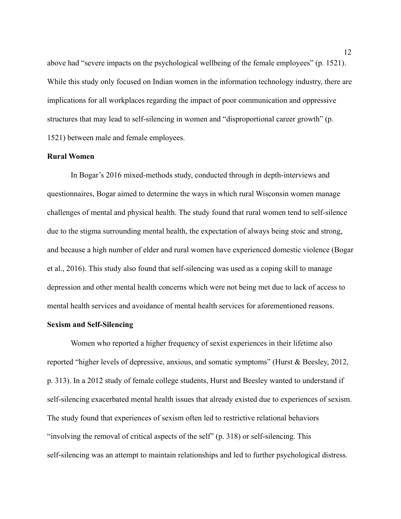above had "severe impacts on the psychological wellbeing of the female employees" (p. 1521). While this study only focused on Indian women in the information technology industry, there are implications for all workplaces regarding the impact of poor communication and oppressive structures that may lead to self-silencing in women and "disproportional career growth" (p. 1521) between male and female employees.

#### **Rural Women**

In Bogar's 2016 mixed-methods study, conducted through in depth-interviews and questionnaires, Bogar aimed to determine the ways in which rural Wisconsin women manage challenges of mental and physical health. The study found that rural women tend to self-silence due to the stigma surrounding mental health, the expectation of always being stoic and strong, and because a high number of elder and rural women have experienced domestic violence (Bogar et al., 2016). This study also found that self-silencing was used as a coping skill to manage depression and other mental health concerns which were not being met due to lack of access to mental health services and avoidance of mental health services for aforementioned reasons.

#### **Sexism and Self-Silencing**

Women who reported a higher frequency of sexist experiences in their lifetime also reported "higher levels of depressive, anxious, and somatic symptoms" (Hurst & Beesley, 2012, p. 313). In a 2012 study of female college students, Hurst and Beesley wanted to understand if self-silencing exacerbated mental health issues that already existed due to experiences of sexism. The study found that experiences of sexism often led to restrictive relational behaviors "involving the removal of critical aspects of the self" (p. 318) or self-silencing. This self-silencing was an attempt to maintain relationships and led to further psychological distress.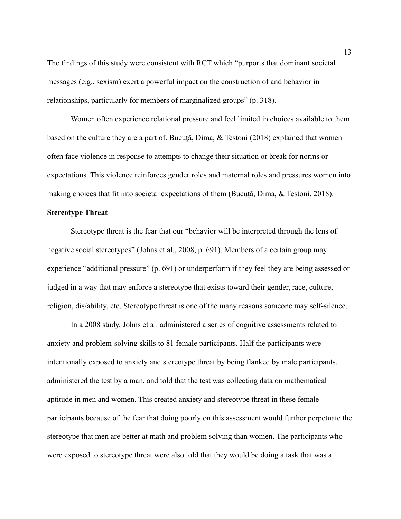The findings of this study were consistent with RCT which "purports that dominant societal messages (e.g., sexism) exert a powerful impact on the construction of and behavior in relationships, particularly for members of marginalized groups" (p. 318).

Women often experience relational pressure and feel limited in choices available to them based on the culture they are a part of. Bucută, Dima, & Testoni (2018) explained that women often face violence in response to attempts to change their situation or break for norms or expectations. This violence reinforces gender roles and maternal roles and pressures women into making choices that fit into societal expectations of them (Bucuță, Dima, & Testoni, 2018).

#### **Stereotype Threat**

Stereotype threat is the fear that our "behavior will be interpreted through the lens of negative social stereotypes" (Johns et al., 2008, p. 691). Members of a certain group may experience "additional pressure" (p. 691) or underperform if they feel they are being assessed or judged in a way that may enforce a stereotype that exists toward their gender, race, culture, religion, dis/ability, etc. Stereotype threat is one of the many reasons someone may self-silence.

In a 2008 study, Johns et al. administered a series of cognitive assessments related to anxiety and problem-solving skills to 81 female participants. Half the participants were intentionally exposed to anxiety and stereotype threat by being flanked by male participants, administered the test by a man, and told that the test was collecting data on mathematical aptitude in men and women. This created anxiety and stereotype threat in these female participants because of the fear that doing poorly on this assessment would further perpetuate the stereotype that men are better at math and problem solving than women. The participants who were exposed to stereotype threat were also told that they would be doing a task that was a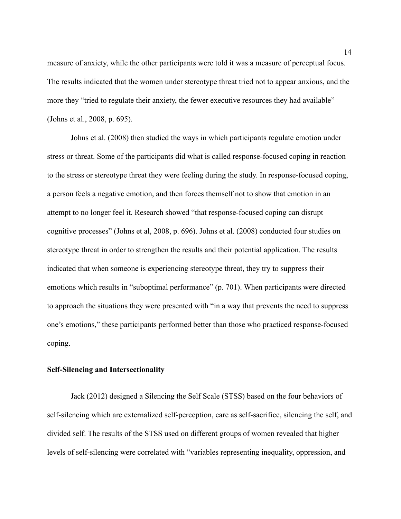measure of anxiety, while the other participants were told it was a measure of perceptual focus. The results indicated that the women under stereotype threat tried not to appear anxious, and the more they "tried to regulate their anxiety, the fewer executive resources they had available" (Johns et al., 2008, p. 695).

Johns et al. (2008) then studied the ways in which participants regulate emotion under stress or threat. Some of the participants did what is called response-focused coping in reaction to the stress or stereotype threat they were feeling during the study. In response-focused coping, a person feels a negative emotion, and then forces themself not to show that emotion in an attempt to no longer feel it. Research showed "that response-focused coping can disrupt cognitive processes" (Johns et al, 2008, p. 696). Johns et al. (2008) conducted four studies on stereotype threat in order to strengthen the results and their potential application. The results indicated that when someone is experiencing stereotype threat, they try to suppress their emotions which results in "suboptimal performance" (p. 701). When participants were directed to approach the situations they were presented with "in a way that prevents the need to suppress one's emotions," these participants performed better than those who practiced response-focused coping.

#### **Self-Silencing and Intersectionality**

Jack (2012) designed a Silencing the Self Scale (STSS) based on the four behaviors of self-silencing which are externalized self-perception, care as self-sacrifice, silencing the self, and divided self. The results of the STSS used on different groups of women revealed that higher levels of self-silencing were correlated with "variables representing inequality, oppression, and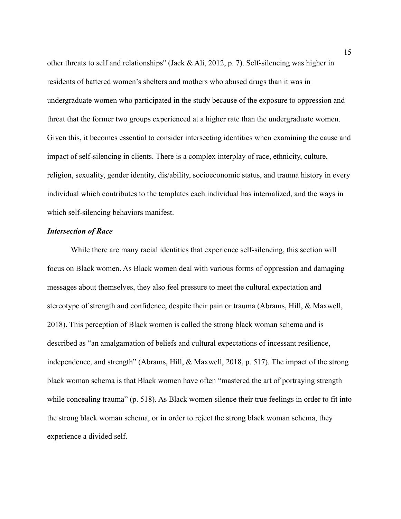other threats to self and relationships" (Jack & Ali, 2012, p. 7). Self-silencing was higher in residents of battered women's shelters and mothers who abused drugs than it was in undergraduate women who participated in the study because of the exposure to oppression and threat that the former two groups experienced at a higher rate than the undergraduate women. Given this, it becomes essential to consider intersecting identities when examining the cause and impact of self-silencing in clients. There is a complex interplay of race, ethnicity, culture, religion, sexuality, gender identity, dis/ability, socioeconomic status, and trauma history in every individual which contributes to the templates each individual has internalized, and the ways in which self-silencing behaviors manifest.

#### *Intersection of Race*

While there are many racial identities that experience self-silencing, this section will focus on Black women. As Black women deal with various forms of oppression and damaging messages about themselves, they also feel pressure to meet the cultural expectation and stereotype of strength and confidence, despite their pain or trauma (Abrams, Hill, & Maxwell, 2018). This perception of Black women is called the strong black woman schema and is described as "an amalgamation of beliefs and cultural expectations of incessant resilience, independence, and strength" (Abrams, Hill, & Maxwell, 2018, p. 517). The impact of the strong black woman schema is that Black women have often "mastered the art of portraying strength while concealing trauma" (p. 518). As Black women silence their true feelings in order to fit into the strong black woman schema, or in order to reject the strong black woman schema, they experience a divided self.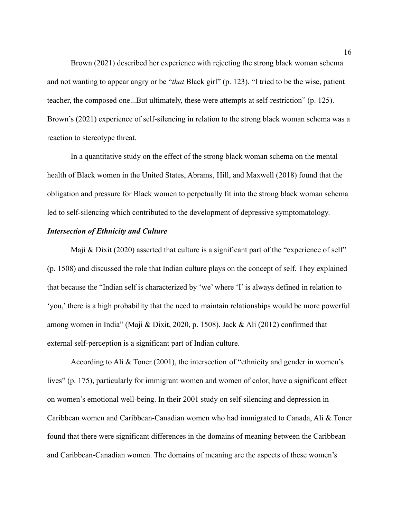Brown (2021) described her experience with rejecting the strong black woman schema and not wanting to appear angry or be "*that* Black girl" (p. 123). "I tried to be the wise, patient teacher, the composed one...But ultimately, these were attempts at self-restriction" (p. 125). Brown's (2021) experience of self-silencing in relation to the strong black woman schema was a reaction to stereotype threat.

In a quantitative study on the effect of the strong black woman schema on the mental health of Black women in the United States, Abrams, Hill, and Maxwell (2018) found that the obligation and pressure for Black women to perpetually fit into the strong black woman schema led to self-silencing which contributed to the development of depressive symptomatology.

#### *Intersection of Ethnicity and Culture*

Maji & Dixit (2020) asserted that culture is a significant part of the "experience of self" (p. 1508) and discussed the role that Indian culture plays on the concept of self. They explained that because the "Indian self is characterized by 'we' where 'I' is always defined in relation to 'you,' there is a high probability that the need to maintain relationships would be more powerful among women in India" (Maji & Dixit, 2020, p. 1508). Jack & Ali (2012) confirmed that external self-perception is a significant part of Indian culture.

According to Ali & Toner (2001), the intersection of "ethnicity and gender in women's lives" (p. 175), particularly for immigrant women and women of color, have a significant effect on women's emotional well-being. In their 2001 study on self-silencing and depression in Caribbean women and Caribbean-Canadian women who had immigrated to Canada, Ali & Toner found that there were significant differences in the domains of meaning between the Caribbean and Caribbean-Canadian women. The domains of meaning are the aspects of these women's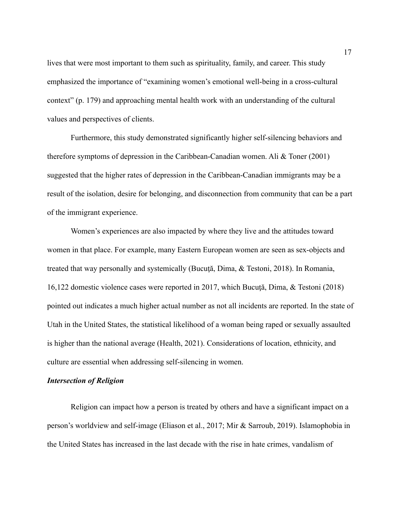lives that were most important to them such as spirituality, family, and career. This study emphasized the importance of "examining women's emotional well-being in a cross-cultural context" (p. 179) and approaching mental health work with an understanding of the cultural values and perspectives of clients.

Furthermore, this study demonstrated significantly higher self-silencing behaviors and therefore symptoms of depression in the Caribbean-Canadian women. Ali & Toner (2001) suggested that the higher rates of depression in the Caribbean-Canadian immigrants may be a result of the isolation, desire for belonging, and disconnection from community that can be a part of the immigrant experience.

Women's experiences are also impacted by where they live and the attitudes toward women in that place. For example, many Eastern European women are seen as sex-objects and treated that way personally and systemically (Bucută, Dima, & Testoni, 2018). In Romania, 16,122 domestic violence cases were reported in 2017, which Bucută, Dima,  $\&$  Testoni (2018) pointed out indicates a much higher actual number as not all incidents are reported. In the state of Utah in the United States, the statistical likelihood of a woman being raped or sexually assaulted is higher than the national average (Health, 2021). Considerations of location, ethnicity, and culture are essential when addressing self-silencing in women.

#### *Intersection of Religion*

Religion can impact how a person is treated by others and have a significant impact on a person's worldview and self-image (Eliason et al., 2017; Mir & Sarroub, 2019). Islamophobia in the United States has increased in the last decade with the rise in hate crimes, vandalism of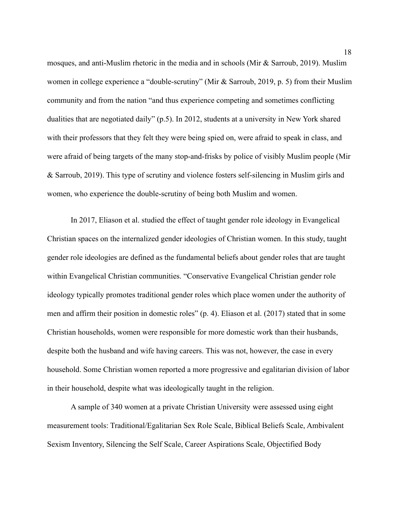mosques, and anti-Muslim rhetoric in the media and in schools (Mir & Sarroub, 2019). Muslim women in college experience a "double-scrutiny" (Mir & Sarroub, 2019, p. 5) from their Muslim community and from the nation "and thus experience competing and sometimes conflicting dualities that are negotiated daily" (p.5). In 2012, students at a university in New York shared with their professors that they felt they were being spied on, were afraid to speak in class, and were afraid of being targets of the many stop-and-frisks by police of visibly Muslim people (Mir & Sarroub, 2019). This type of scrutiny and violence fosters self-silencing in Muslim girls and women, who experience the double-scrutiny of being both Muslim and women.

In 2017, Eliason et al. studied the effect of taught gender role ideology in Evangelical Christian spaces on the internalized gender ideologies of Christian women. In this study, taught gender role ideologies are defined as the fundamental beliefs about gender roles that are taught within Evangelical Christian communities. "Conservative Evangelical Christian gender role ideology typically promotes traditional gender roles which place women under the authority of men and affirm their position in domestic roles" (p. 4). Eliason et al. (2017) stated that in some Christian households, women were responsible for more domestic work than their husbands, despite both the husband and wife having careers. This was not, however, the case in every household. Some Christian women reported a more progressive and egalitarian division of labor in their household, despite what was ideologically taught in the religion.

A sample of 340 women at a private Christian University were assessed using eight measurement tools: Traditional/Egalitarian Sex Role Scale, Biblical Beliefs Scale, Ambivalent Sexism Inventory, Silencing the Self Scale, Career Aspirations Scale, Objectified Body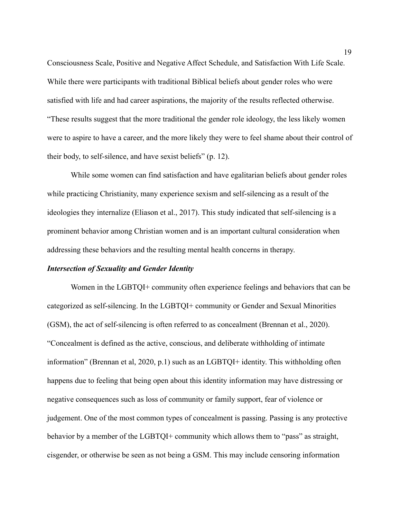Consciousness Scale, Positive and Negative Affect Schedule, and Satisfaction With Life Scale. While there were participants with traditional Biblical beliefs about gender roles who were satisfied with life and had career aspirations, the majority of the results reflected otherwise. "These results suggest that the more traditional the gender role ideology, the less likely women were to aspire to have a career, and the more likely they were to feel shame about their control of their body, to self-silence, and have sexist beliefs" (p. 12).

While some women can find satisfaction and have egalitarian beliefs about gender roles while practicing Christianity, many experience sexism and self-silencing as a result of the ideologies they internalize (Eliason et al., 2017). This study indicated that self-silencing is a prominent behavior among Christian women and is an important cultural consideration when addressing these behaviors and the resulting mental health concerns in therapy.

#### *Intersection of Sexuality and Gender Identity*

Women in the LGBTQI+ community often experience feelings and behaviors that can be categorized as self-silencing. In the LGBTQI+ community or Gender and Sexual Minorities (GSM), the act of self-silencing is often referred to as concealment (Brennan et al., 2020). "Concealment is defined as the active, conscious, and deliberate withholding of intimate information" (Brennan et al, 2020, p.1) such as an LGBTQI+ identity. This withholding often happens due to feeling that being open about this identity information may have distressing or negative consequences such as loss of community or family support, fear of violence or judgement. One of the most common types of concealment is passing. Passing is any protective behavior by a member of the LGBTQI+ community which allows them to "pass" as straight, cisgender, or otherwise be seen as not being a GSM. This may include censoring information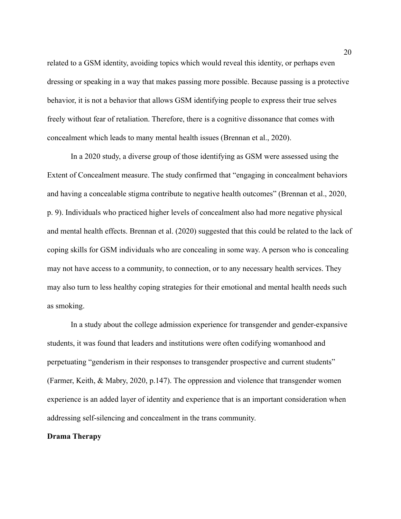related to a GSM identity, avoiding topics which would reveal this identity, or perhaps even dressing or speaking in a way that makes passing more possible. Because passing is a protective behavior, it is not a behavior that allows GSM identifying people to express their true selves freely without fear of retaliation. Therefore, there is a cognitive dissonance that comes with concealment which leads to many mental health issues (Brennan et al., 2020).

In a 2020 study, a diverse group of those identifying as GSM were assessed using the Extent of Concealment measure. The study confirmed that "engaging in concealment behaviors and having a concealable stigma contribute to negative health outcomes" (Brennan et al., 2020, p. 9). Individuals who practiced higher levels of concealment also had more negative physical and mental health effects. Brennan et al. (2020) suggested that this could be related to the lack of coping skills for GSM individuals who are concealing in some way. A person who is concealing may not have access to a community, to connection, or to any necessary health services. They may also turn to less healthy coping strategies for their emotional and mental health needs such as smoking.

In a study about the college admission experience for transgender and gender-expansive students, it was found that leaders and institutions were often codifying womanhood and perpetuating "genderism in their responses to transgender prospective and current students" (Farmer, Keith, & Mabry, 2020, p.147). The oppression and violence that transgender women experience is an added layer of identity and experience that is an important consideration when addressing self-silencing and concealment in the trans community.

#### **Drama Therapy**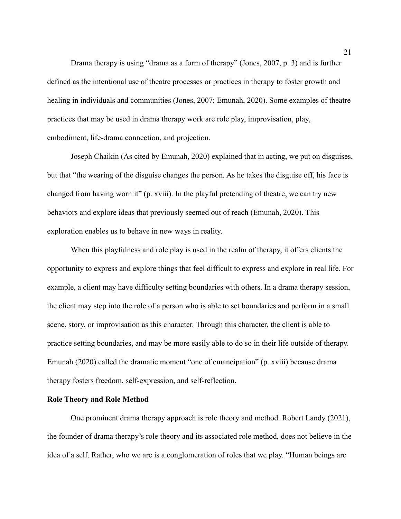Drama therapy is using "drama as a form of therapy" (Jones, 2007, p. 3) and is further defined as the intentional use of theatre processes or practices in therapy to foster growth and healing in individuals and communities (Jones, 2007; Emunah, 2020). Some examples of theatre practices that may be used in drama therapy work are role play, improvisation, play, embodiment, life-drama connection, and projection.

Joseph Chaikin (As cited by Emunah, 2020) explained that in acting, we put on disguises, but that "the wearing of the disguise changes the person. As he takes the disguise off, his face is changed from having worn it" (p. xviii). In the playful pretending of theatre, we can try new behaviors and explore ideas that previously seemed out of reach (Emunah, 2020). This exploration enables us to behave in new ways in reality.

When this playfulness and role play is used in the realm of therapy, it offers clients the opportunity to express and explore things that feel difficult to express and explore in real life. For example, a client may have difficulty setting boundaries with others. In a drama therapy session, the client may step into the role of a person who is able to set boundaries and perform in a small scene, story, or improvisation as this character. Through this character, the client is able to practice setting boundaries, and may be more easily able to do so in their life outside of therapy. Emunah (2020) called the dramatic moment "one of emancipation" (p. xviii) because drama therapy fosters freedom, self-expression, and self-reflection.

#### **Role Theory and Role Method**

One prominent drama therapy approach is role theory and method. Robert Landy (2021), the founder of drama therapy's role theory and its associated role method, does not believe in the idea of a self. Rather, who we are is a conglomeration of roles that we play. "Human beings are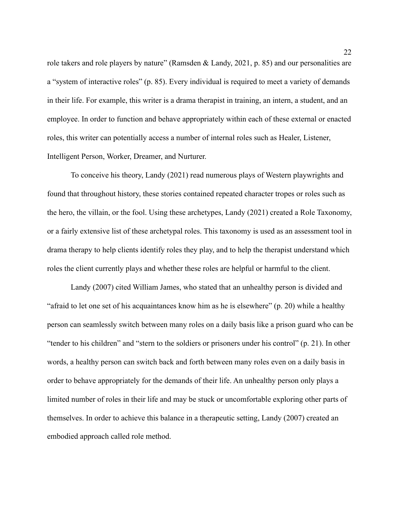role takers and role players by nature" (Ramsden & Landy, 2021, p. 85) and our personalities are a "system of interactive roles" (p. 85). Every individual is required to meet a variety of demands in their life. For example, this writer is a drama therapist in training, an intern, a student, and an employee. In order to function and behave appropriately within each of these external or enacted roles, this writer can potentially access a number of internal roles such as Healer, Listener, Intelligent Person, Worker, Dreamer, and Nurturer.

To conceive his theory, Landy (2021) read numerous plays of Western playwrights and found that throughout history, these stories contained repeated character tropes or roles such as the hero, the villain, or the fool. Using these archetypes, Landy (2021) created a Role Taxonomy, or a fairly extensive list of these archetypal roles. This taxonomy is used as an assessment tool in drama therapy to help clients identify roles they play, and to help the therapist understand which roles the client currently plays and whether these roles are helpful or harmful to the client.

Landy (2007) cited William James, who stated that an unhealthy person is divided and "afraid to let one set of his acquaintances know him as he is elsewhere" (p. 20) while a healthy person can seamlessly switch between many roles on a daily basis like a prison guard who can be "tender to his children" and "stern to the soldiers or prisoners under his control" (p. 21). In other words, a healthy person can switch back and forth between many roles even on a daily basis in order to behave appropriately for the demands of their life. An unhealthy person only plays a limited number of roles in their life and may be stuck or uncomfortable exploring other parts of themselves. In order to achieve this balance in a therapeutic setting, Landy (2007) created an embodied approach called role method.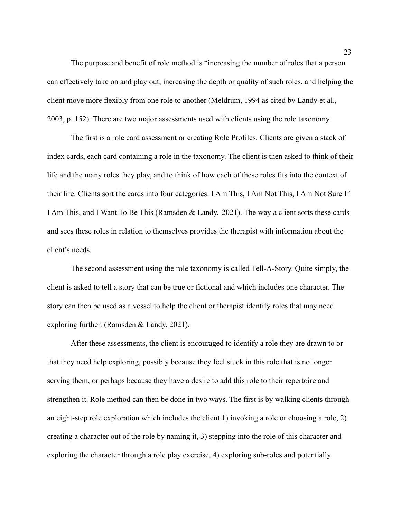The purpose and benefit of role method is "increasing the number of roles that a person can effectively take on and play out, increasing the depth or quality of such roles, and helping the client move more flexibly from one role to another (Meldrum, 1994 as cited by Landy et al., 2003, p. 152). There are two major assessments used with clients using the role taxonomy.

The first is a role card assessment or creating Role Profiles. Clients are given a stack of index cards, each card containing a role in the taxonomy. The client is then asked to think of their life and the many roles they play, and to think of how each of these roles fits into the context of their life. Clients sort the cards into four categories: I Am This, I Am Not This, I Am Not Sure If I Am This, and I Want To Be This (Ramsden & Landy, 2021). The way a client sorts these cards and sees these roles in relation to themselves provides the therapist with information about the client's needs.

The second assessment using the role taxonomy is called Tell-A-Story. Quite simply, the client is asked to tell a story that can be true or fictional and which includes one character. The story can then be used as a vessel to help the client or therapist identify roles that may need exploring further. (Ramsden & Landy, 2021).

After these assessments, the client is encouraged to identify a role they are drawn to or that they need help exploring, possibly because they feel stuck in this role that is no longer serving them, or perhaps because they have a desire to add this role to their repertoire and strengthen it. Role method can then be done in two ways. The first is by walking clients through an eight-step role exploration which includes the client 1) invoking a role or choosing a role, 2) creating a character out of the role by naming it, 3) stepping into the role of this character and exploring the character through a role play exercise, 4) exploring sub-roles and potentially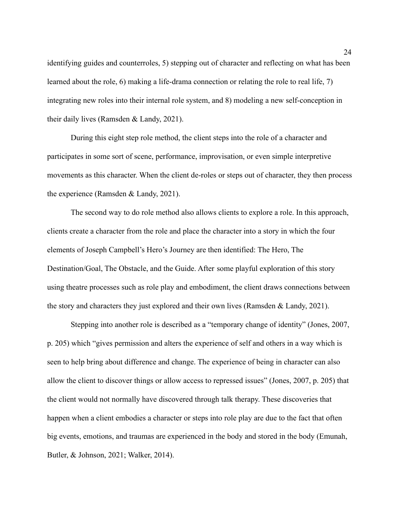identifying guides and counterroles, 5) stepping out of character and reflecting on what has been learned about the role, 6) making a life-drama connection or relating the role to real life, 7) integrating new roles into their internal role system, and 8) modeling a new self-conception in their daily lives (Ramsden & Landy, 2021).

During this eight step role method, the client steps into the role of a character and participates in some sort of scene, performance, improvisation, or even simple interpretive movements as this character. When the client de-roles or steps out of character, they then process the experience (Ramsden & Landy, 2021).

The second way to do role method also allows clients to explore a role. In this approach, clients create a character from the role and place the character into a story in which the four elements of Joseph Campbell's Hero's Journey are then identified: The Hero, The Destination/Goal, The Obstacle, and the Guide. After some playful exploration of this story using theatre processes such as role play and embodiment, the client draws connections between the story and characters they just explored and their own lives (Ramsden & Landy, 2021).

Stepping into another role is described as a "temporary change of identity" (Jones, 2007, p. 205) which "gives permission and alters the experience of self and others in a way which is seen to help bring about difference and change. The experience of being in character can also allow the client to discover things or allow access to repressed issues" (Jones, 2007, p. 205) that the client would not normally have discovered through talk therapy. These discoveries that happen when a client embodies a character or steps into role play are due to the fact that often big events, emotions, and traumas are experienced in the body and stored in the body (Emunah, Butler, & Johnson, 2021; Walker, 2014).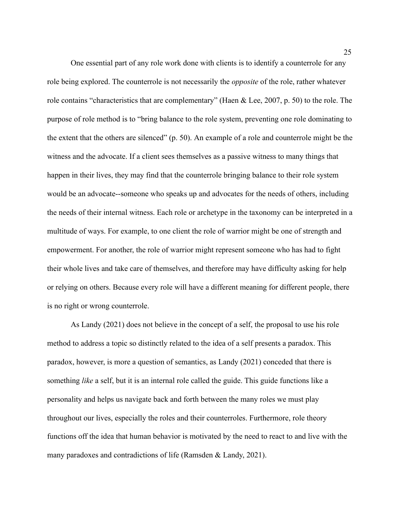One essential part of any role work done with clients is to identify a counterrole for any role being explored. The counterrole is not necessarily the *opposite* of the role, rather whatever role contains "characteristics that are complementary" (Haen & Lee, 2007, p. 50) to the role. The purpose of role method is to "bring balance to the role system, preventing one role dominating to the extent that the others are silenced" (p. 50). An example of a role and counterrole might be the witness and the advocate. If a client sees themselves as a passive witness to many things that happen in their lives, they may find that the counterrole bringing balance to their role system would be an advocate--someone who speaks up and advocates for the needs of others, including the needs of their internal witness. Each role or archetype in the taxonomy can be interpreted in a multitude of ways. For example, to one client the role of warrior might be one of strength and empowerment. For another, the role of warrior might represent someone who has had to fight their whole lives and take care of themselves, and therefore may have difficulty asking for help or relying on others. Because every role will have a different meaning for different people, there is no right or wrong counterrole.

As Landy (2021) does not believe in the concept of a self, the proposal to use his role method to address a topic so distinctly related to the idea of a self presents a paradox. This paradox, however, is more a question of semantics, as Landy (2021) conceded that there is something *like* a self, but it is an internal role called the guide. This guide functions like a personality and helps us navigate back and forth between the many roles we must play throughout our lives, especially the roles and their counterroles. Furthermore, role theory functions off the idea that human behavior is motivated by the need to react to and live with the many paradoxes and contradictions of life (Ramsden & Landy, 2021).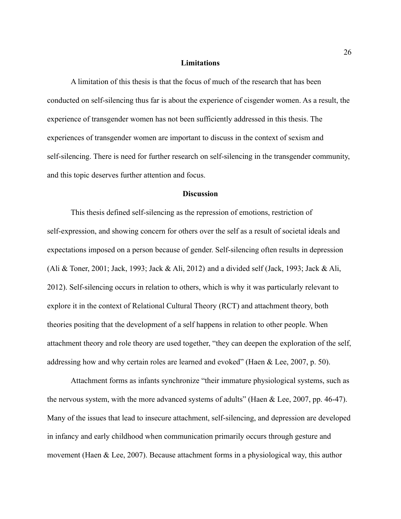#### **Limitations**

A limitation of this thesis is that the focus of much of the research that has been conducted on self-silencing thus far is about the experience of cisgender women. As a result, the experience of transgender women has not been sufficiently addressed in this thesis. The experiences of transgender women are important to discuss in the context of sexism and self-silencing. There is need for further research on self-silencing in the transgender community, and this topic deserves further attention and focus.

#### **Discussion**

This thesis defined self-silencing as the repression of emotions, restriction of self-expression, and showing concern for others over the self as a result of societal ideals and expectations imposed on a person because of gender. Self-silencing often results in depression (Ali & Toner, 2001; Jack, 1993; Jack & Ali, 2012) and a divided self (Jack, 1993; Jack & Ali, 2012). Self-silencing occurs in relation to others, which is why it was particularly relevant to explore it in the context of Relational Cultural Theory (RCT) and attachment theory, both theories positing that the development of a self happens in relation to other people. When attachment theory and role theory are used together, "they can deepen the exploration of the self, addressing how and why certain roles are learned and evoked" (Haen & Lee, 2007, p. 50).

Attachment forms as infants synchronize "their immature physiological systems, such as the nervous system, with the more advanced systems of adults" (Haen & Lee, 2007, pp. 46-47). Many of the issues that lead to insecure attachment, self-silencing, and depression are developed in infancy and early childhood when communication primarily occurs through gesture and movement (Haen & Lee, 2007). Because attachment forms in a physiological way, this author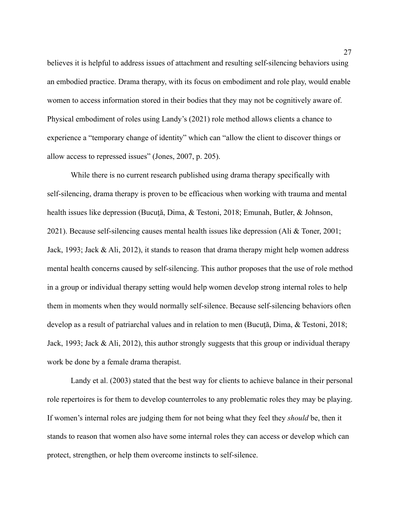believes it is helpful to address issues of attachment and resulting self-silencing behaviors using an embodied practice. Drama therapy, with its focus on embodiment and role play, would enable women to access information stored in their bodies that they may not be cognitively aware of. Physical embodiment of roles using Landy's (2021) role method allows clients a chance to experience a "temporary change of identity" which can "allow the client to discover things or allow access to repressed issues" (Jones, 2007, p. 205).

While there is no current research published using drama therapy specifically with self-silencing, drama therapy is proven to be efficacious when working with trauma and mental health issues like depression (Bucuță, Dima, & Testoni, 2018; Emunah, Butler, & Johnson, 2021). Because self-silencing causes mental health issues like depression (Ali & Toner, 2001; Jack, 1993; Jack & Ali, 2012), it stands to reason that drama therapy might help women address mental health concerns caused by self-silencing. This author proposes that the use of role method in a group or individual therapy setting would help women develop strong internal roles to help them in moments when they would normally self-silence. Because self-silencing behaviors often develop as a result of patriarchal values and in relation to men (Bucuță, Dima, & Testoni, 2018; Jack, 1993; Jack & Ali, 2012), this author strongly suggests that this group or individual therapy work be done by a female drama therapist.

Landy et al. (2003) stated that the best way for clients to achieve balance in their personal role repertoires is for them to develop counterroles to any problematic roles they may be playing. If women's internal roles are judging them for not being what they feel they *should* be, then it stands to reason that women also have some internal roles they can access or develop which can protect, strengthen, or help them overcome instincts to self-silence.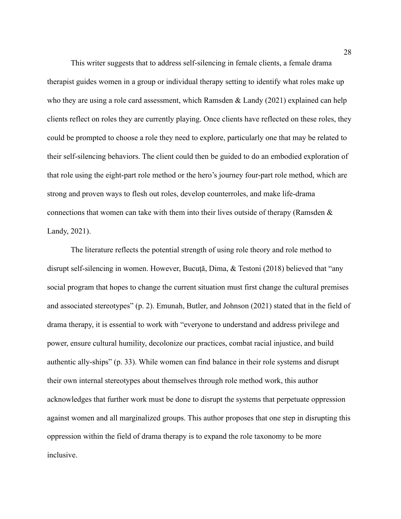This writer suggests that to address self-silencing in female clients, a female drama therapist guides women in a group or individual therapy setting to identify what roles make up who they are using a role card assessment, which Ramsden & Landy (2021) explained can help clients reflect on roles they are currently playing. Once clients have reflected on these roles, they could be prompted to choose a role they need to explore, particularly one that may be related to their self-silencing behaviors. The client could then be guided to do an embodied exploration of that role using the eight-part role method or the hero's journey four-part role method, which are strong and proven ways to flesh out roles, develop counterroles, and make life-drama connections that women can take with them into their lives outside of therapy (Ramsden & Landy, 2021).

The literature reflects the potential strength of using role theory and role method to disrupt self-silencing in women. However, Bucută, Dima, & Testoni (2018) believed that "any social program that hopes to change the current situation must first change the cultural premises and associated stereotypes" (p. 2). Emunah, Butler, and Johnson (2021) stated that in the field of drama therapy, it is essential to work with "everyone to understand and address privilege and power, ensure cultural humility, decolonize our practices, combat racial injustice, and build authentic ally-ships" (p. 33). While women can find balance in their role systems and disrupt their own internal stereotypes about themselves through role method work, this author acknowledges that further work must be done to disrupt the systems that perpetuate oppression against women and all marginalized groups. This author proposes that one step in disrupting this oppression within the field of drama therapy is to expand the role taxonomy to be more inclusive.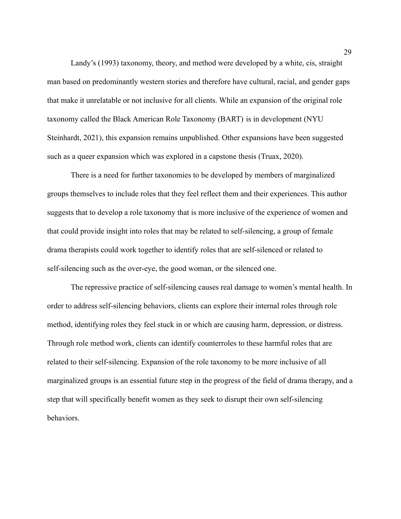Landy's (1993) taxonomy, theory, and method were developed by a white, cis, straight man based on predominantly western stories and therefore have cultural, racial, and gender gaps that make it unrelatable or not inclusive for all clients. While an expansion of the original role taxonomy called the Black American Role Taxonomy (BART) is in development (NYU Steinhardt, 2021), this expansion remains unpublished. Other expansions have been suggested such as a queer expansion which was explored in a capstone thesis (Truax, 2020).

There is a need for further taxonomies to be developed by members of marginalized groups themselves to include roles that they feel reflect them and their experiences. This author suggests that to develop a role taxonomy that is more inclusive of the experience of women and that could provide insight into roles that may be related to self-silencing, a group of female drama therapists could work together to identify roles that are self-silenced or related to self-silencing such as the over-eye, the good woman, or the silenced one.

The repressive practice of self-silencing causes real damage to women's mental health. In order to address self-silencing behaviors, clients can explore their internal roles through role method, identifying roles they feel stuck in or which are causing harm, depression, or distress. Through role method work, clients can identify counterroles to these harmful roles that are related to their self-silencing. Expansion of the role taxonomy to be more inclusive of all marginalized groups is an essential future step in the progress of the field of drama therapy, and a step that will specifically benefit women as they seek to disrupt their own self-silencing behaviors.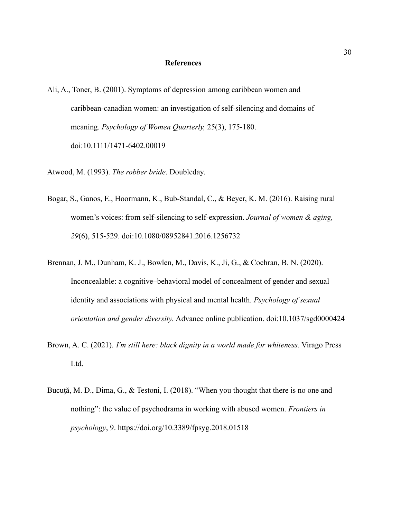#### **References**

- Ali, A., Toner, B. (2001). Symptoms of depression among caribbean women and caribbean-canadian women: an investigation of self-silencing and domains of meaning. *Psychology of Women Quarterly,* 25(3), 175-180. doi:10.1111/1471-6402.00019
- Atwood, M. (1993). *The robber bride*. Doubleday.
- Bogar, S., Ganos, E., Hoormann, K., Bub-Standal, C., & Beyer, K. M. (2016). Raising rural women's voices: from self-silencing to self-expression. *Journal of women & aging, 29*(6), 515-529. doi:10.1080/08952841.2016.1256732
- Brennan, J. M., Dunham, K. J., Bowlen, M., Davis, K., Ji, G., & Cochran, B. N. (2020). Inconcealable: a cognitive–behavioral model of concealment of gender and sexual identity and associations with physical and mental health. *Psychology of sexual orientation and gender diversity.* Advance online publication. doi:10.1037/sgd0000424
- Brown, A. C. (2021). *I'm still here: black dignity in a world made for whiteness*. Virago Press Ltd.
- Bucuță, M. D., Dima, G., & Testoni, I. (2018). "When you thought that there is no one and nothing": the value of psychodrama in working with abused women. *Frontiers in psychology*, 9. https://doi.org/10.3389/fpsyg.2018.01518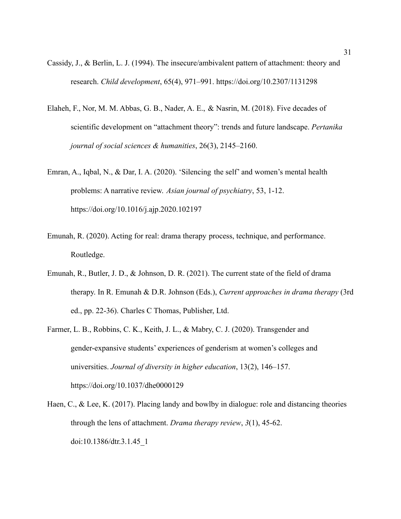- Cassidy, J., & Berlin, L. J. (1994). The insecure/ambivalent pattern of attachment: theory and research. *Child development*, 65(4), 971–991. https://doi.org/10.2307/1131298
- Elaheh, F., Nor, M. M. Abbas, G. B., Nader, A. E., & Nasrin, M. (2018). Five decades of scientific development on "attachment theory": trends and future landscape. *Pertanika journal of social sciences & humanities*, 26(3), 2145–2160.
- Emran, A., Iqbal, N., & Dar, I. A. (2020). 'Silencing the self' and women's mental health problems: A narrative review. *Asian journal of psychiatry*, 53, 1-12. https://doi.org/10.1016/j.ajp.2020.102197
- Emunah, R. (2020). Acting for real: drama therapy process, technique, and performance. Routledge.
- Emunah, R., Butler, J. D., & Johnson, D. R. (2021). The current state of the field of drama therapy. In R. Emunah & D.R. Johnson (Eds.), *Current approaches in drama therapy* (3rd ed., pp. 22-36). Charles C Thomas, Publisher, Ltd.
- Farmer, L. B., Robbins, C. K., Keith, J. L., & Mabry, C. J. (2020). Transgender and gender-expansive students' experiences of genderism at women's colleges and universities. *Journal of diversity in higher education*, 13(2), 146–157. https://doi.org/10.1037/dhe0000129
- Haen, C., & Lee, K. (2017). Placing landy and bowlby in dialogue: role and distancing theories through the lens of attachment. *Drama therapy review*, *3*(1), 45-62. doi:10.1386/dtr.3.1.45\_1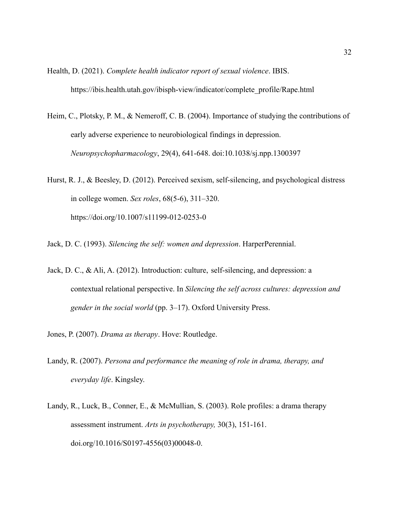Health, D. (2021). *Complete health indicator report of sexual violence*. IBIS. https://ibis.health.utah.gov/ibisph-view/indicator/complete\_profile/Rape.html

- Heim, C., Plotsky, P. M., & Nemeroff, C. B. (2004). Importance of studying the contributions of early adverse experience to neurobiological findings in depression. *Neuropsychopharmacology*, 29(4), 641-648. doi:10.1038/sj.npp.1300397
- Hurst, R. J., & Beesley, D. (2012). Perceived sexism, self-silencing, and psychological distress in college women. *Sex roles*, 68(5-6), 311–320. https://doi.org/10.1007/s11199-012-0253-0
- Jack, D. C. (1993). *Silencing the self: women and depression*. HarperPerennial.
- Jack, D. C., & Ali, A. (2012). Introduction: culture, self-silencing, and depression: a contextual relational perspective. In *Silencing the self across cultures: depression and gender in the social world* (pp. 3–17). Oxford University Press.
- Jones, P. (2007). *Drama as therapy*. Hove: Routledge.
- Landy, R. (2007). *Persona and performance the meaning of role in drama, therapy, and everyday life*. Kingsley.
- Landy, R., Luck, B., Conner, E., & McMullian, S. (2003). Role profiles: a drama therapy assessment instrument. *Arts in psychotherapy,* 30(3), 151-161. doi.org/10.1016/S0197-4556(03)00048-0.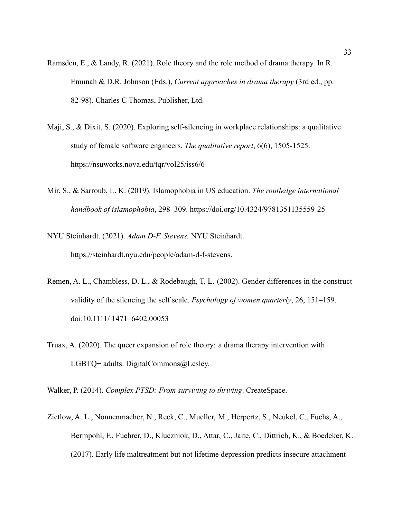- Ramsden, E., & Landy, R. (2021). Role theory and the role method of drama therapy. In R. Emunah & D.R. Johnson (Eds.), *Current approaches in drama therapy* (3rd ed., pp. 82-98). Charles C Thomas, Publisher, Ltd.
- Maji, S., & Dixit, S. (2020). Exploring self-silencing in workplace relationships: a qualitative study of female software engineers. *The qualitative report*, 6(6), 1505-1525. https://nsuworks.nova.edu/tqr/vol25/iss6/6
- Mir, S., & Sarroub, L. K. (2019). Islamophobia in US education. *The routledge international handbook of islamophobia*, 298–309. https://doi.org/10.4324/9781351135559-25
- NYU Steinhardt. (2021). *Adam D-F. Stevens.* NYU Steinhardt. https://steinhardt.nyu.edu/people/adam-d-f-stevens.
- Remen, A. L., Chambless, D. L., & Rodebaugh, T. L. (2002). Gender differences in the construct validity of the silencing the self scale. *Psychology of women quarterly*, 26, 151–159. doi:10.1111/ 1471–6402.00053
- Truax, A. (2020). The queer expansion of role theory: a drama therapy intervention with LGBTQ+ adults. DigitalCommons@Lesley.
- Walker, P. (2014). *Complex PTSD: From surviving to thriving*. CreateSpace.
- Zietlow, A. L., Nonnenmacher, N., Reck, C., Mueller, M., Herpertz, S., Neukel, C., Fuchs, A., Bermpohl, F., Fuehrer, D., Kluczniok, D., Attar, C., Jaite, C., Dittrich, K., & Boedeker, K. (2017). Early life maltreatment but not lifetime depression predicts insecure attachment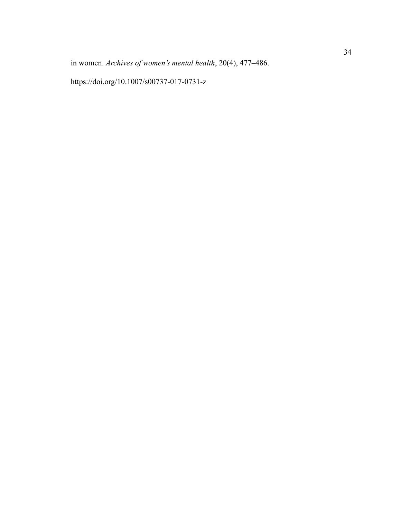in women. *Archives of women's mental health*, 20(4), 477–486.

https://doi.org/10.1007/s00737-017-0731-z